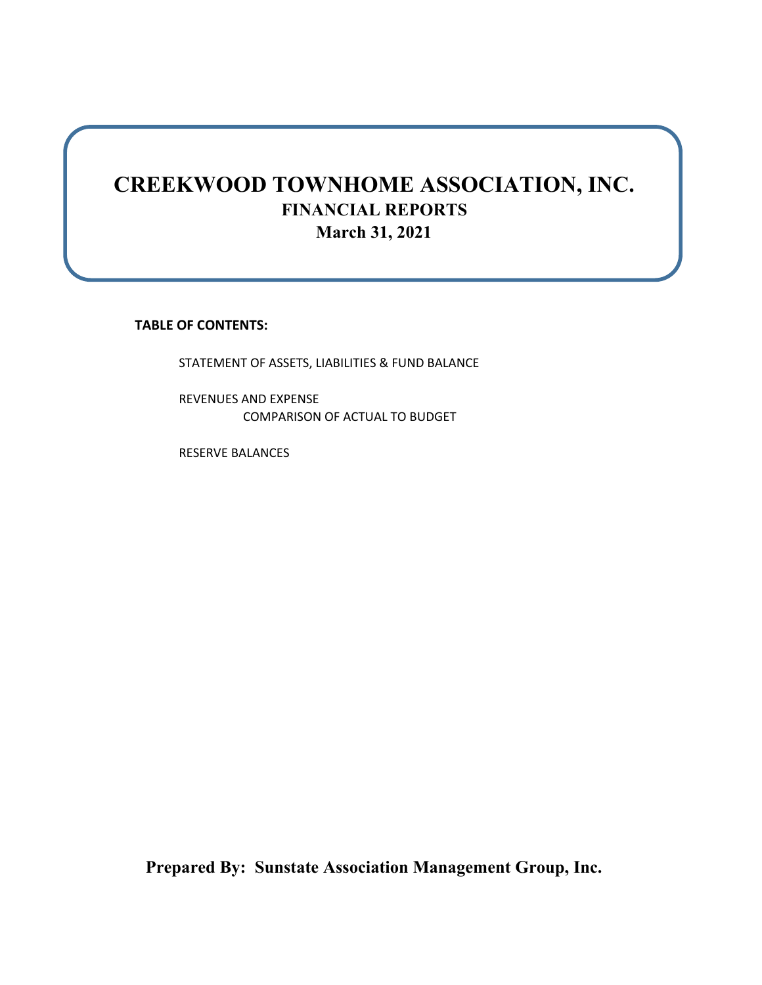## **CREEKWOOD TOWNHOME ASSOCIATION, INC. FINANCIAL REPORTS March 31, 2021**

**TABLE OF CONTENTS:**

STATEMENT OF ASSETS, LIABILITIES & FUND BALANCE

REVENUES AND EXPENSE COMPARISON OF ACTUAL TO BUDGET

RESERVE BALANCES

**Prepared By: Sunstate Association Management Group, Inc.**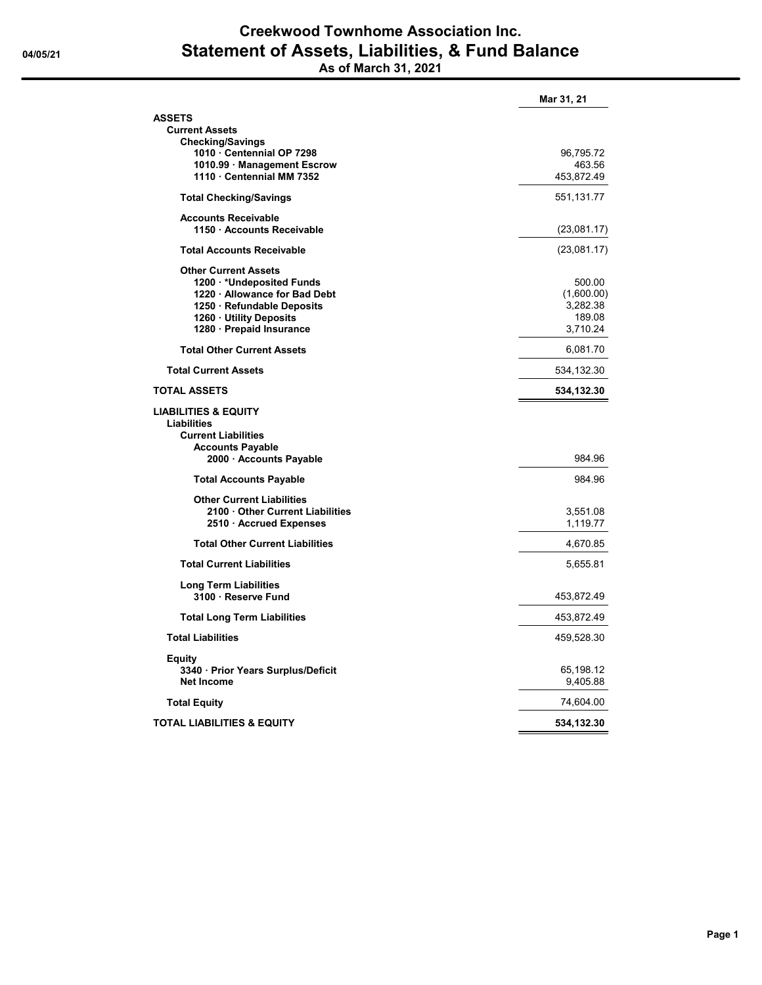## **Creekwood Townhome Association Inc. 04/05/21 Statement of Assets, Liabilities, & Fund Balance As of March 31, 2021**

|                                                                                                                                                                        | Mar 31, 21                                             |
|------------------------------------------------------------------------------------------------------------------------------------------------------------------------|--------------------------------------------------------|
| <b>ASSETS</b>                                                                                                                                                          |                                                        |
| <b>Current Assets</b><br><b>Checking/Savings</b><br>1010 Centennial OP 7298<br>1010.99 Management Escrow<br>1110 Centennial MM 7352                                    | 96,795.72<br>463.56<br>453,872.49                      |
| <b>Total Checking/Savings</b>                                                                                                                                          | 551,131.77                                             |
| <b>Accounts Receivable</b><br>1150 Accounts Receivable                                                                                                                 | (23,081.17)                                            |
| <b>Total Accounts Receivable</b>                                                                                                                                       | (23,081.17)                                            |
| <b>Other Current Assets</b><br>1200 *Undeposited Funds<br>1220 Allowance for Bad Debt<br>1250 Refundable Deposits<br>1260 Utility Deposits<br>1280 - Prepaid Insurance | 500.00<br>(1,600.00)<br>3,282.38<br>189.08<br>3,710.24 |
| <b>Total Other Current Assets</b>                                                                                                                                      | 6,081.70                                               |
| <b>Total Current Assets</b>                                                                                                                                            | 534,132.30                                             |
| <b>TOTAL ASSETS</b>                                                                                                                                                    | 534,132.30                                             |
| <b>LIABILITIES &amp; EQUITY</b><br><b>Liabilities</b><br><b>Current Liabilities</b><br><b>Accounts Payable</b><br>2000 · Accounts Payable                              | 984.96                                                 |
| <b>Total Accounts Payable</b>                                                                                                                                          | 984.96                                                 |
| <b>Other Current Liabilities</b><br>2100 Other Current Liabilities<br>2510 Accrued Expenses                                                                            | 3,551.08<br>1,119.77                                   |
| <b>Total Other Current Liabilities</b>                                                                                                                                 | 4,670.85                                               |
| <b>Total Current Liabilities</b>                                                                                                                                       | 5,655.81                                               |
| <b>Long Term Liabilities</b><br>3100 Reserve Fund                                                                                                                      | 453,872.49                                             |
| <b>Total Long Term Liabilities</b>                                                                                                                                     | 453,872.49                                             |
| <b>Total Liabilities</b>                                                                                                                                               | 459,528.30                                             |
| Equity<br>3340 · Prior Years Surplus/Deficit<br><b>Net Income</b>                                                                                                      | 65,198.12<br>9,405.88                                  |
| <b>Total Equity</b>                                                                                                                                                    | 74,604.00                                              |
| <b>TOTAL LIABILITIES &amp; EQUITY</b>                                                                                                                                  | 534,132.30                                             |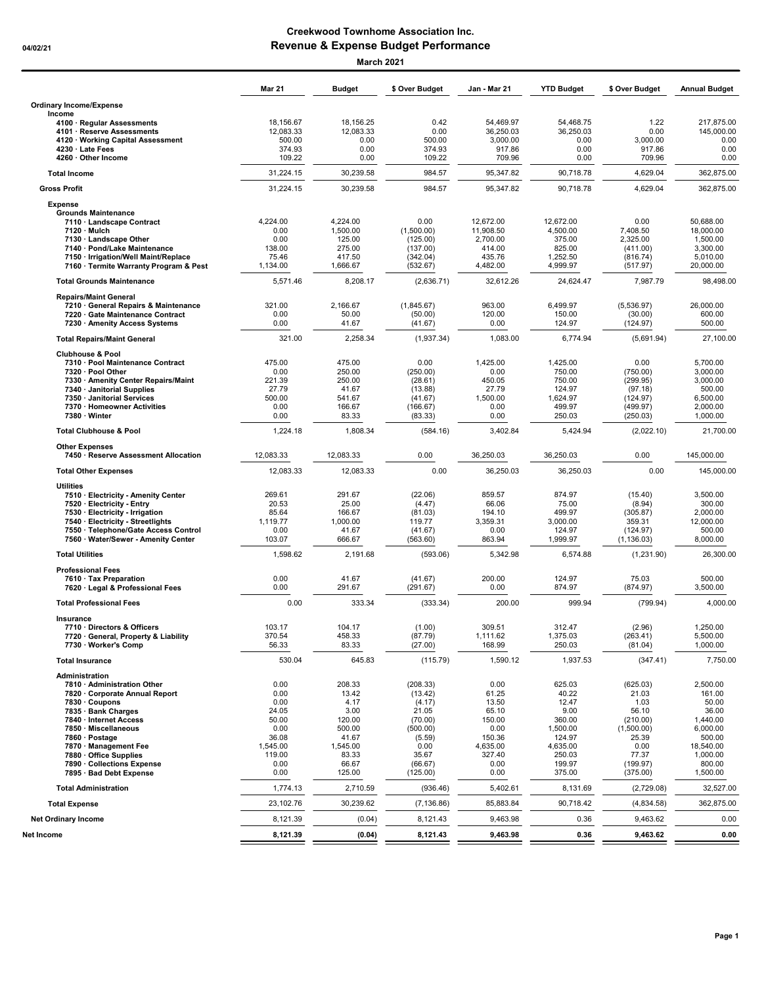$\blacksquare$ 

## **Creekwood Townhome Association Inc. 04/02/21 Revenue & Expense Budget Performance March 2021**

|                                                                                                                                                                                                                                                                                                          | <b>Mar 21</b>                                                                                 | <b>Budget</b>                                                                                        | \$ Over Budget                                                                                                  | Jan - Mar 21                                                                                      | <b>YTD Budget</b>                                                                                          | \$ Over Budget                                                                                                 | <b>Annual Budget</b>                                                                                                  |
|----------------------------------------------------------------------------------------------------------------------------------------------------------------------------------------------------------------------------------------------------------------------------------------------------------|-----------------------------------------------------------------------------------------------|------------------------------------------------------------------------------------------------------|-----------------------------------------------------------------------------------------------------------------|---------------------------------------------------------------------------------------------------|------------------------------------------------------------------------------------------------------------|----------------------------------------------------------------------------------------------------------------|-----------------------------------------------------------------------------------------------------------------------|
| <b>Ordinary Income/Expense</b>                                                                                                                                                                                                                                                                           |                                                                                               |                                                                                                      |                                                                                                                 |                                                                                                   |                                                                                                            |                                                                                                                |                                                                                                                       |
| Income<br>4100 · Regular Assessments<br>4101 · Reserve Assessments<br>4120 · Working Capital Assessment<br>4230 · Late Fees<br>4260 · Other Income                                                                                                                                                       | 18,156.67<br>12,083.33<br>500.00<br>374.93<br>109.22                                          | 18,156.25<br>12,083.33<br>0.00<br>0.00<br>0.00                                                       | 0.42<br>0.00<br>500.00<br>374.93<br>109.22                                                                      | 54.469.97<br>36,250.03<br>3,000.00<br>917.86<br>709.96                                            | 54.468.75<br>36,250.03<br>0.00<br>0.00<br>0.00                                                             | 1.22<br>0.00<br>3,000.00<br>917.86<br>709.96                                                                   | 217,875.00<br>145,000.00<br>0.00<br>0.00<br>0.00                                                                      |
| <b>Total Income</b>                                                                                                                                                                                                                                                                                      | 31,224.15                                                                                     | 30,239.58                                                                                            | 984.57                                                                                                          | 95,347.82                                                                                         | 90,718.78                                                                                                  | 4,629.04                                                                                                       | 362,875.00                                                                                                            |
| <b>Gross Profit</b>                                                                                                                                                                                                                                                                                      | 31,224.15                                                                                     | 30,239.58                                                                                            | 984.57                                                                                                          | 95,347.82                                                                                         | 90,718.78                                                                                                  | 4,629.04                                                                                                       | 362,875.00                                                                                                            |
| <b>Expense</b><br><b>Grounds Maintenance</b><br>7110 · Landscape Contract<br>$7120 \cdot Mulch$<br>7130 · Landscape Other<br>7140 · Pond/Lake Maintenance<br>7150 · Irrigation/Well Maint/Replace<br>7160 · Termite Warranty Program & Pest                                                              | 4,224.00<br>0.00<br>0.00<br>138.00<br>75.46<br>1,134.00                                       | 4,224.00<br>1,500.00<br>125.00<br>275.00<br>417.50<br>1,666.67                                       | 0.00<br>(1,500.00)<br>(125.00)<br>(137.00)<br>(342.04)<br>(532.67)                                              | 12,672.00<br>11,908.50<br>2,700.00<br>414.00<br>435.76<br>4,482.00                                | 12,672.00<br>4,500.00<br>375.00<br>825.00<br>1,252.50<br>4,999.97                                          | 0.00<br>7,408.50<br>2,325.00<br>(411.00)<br>(816.74)<br>(517.97)                                               | 50,688.00<br>18,000.00<br>1,500.00<br>3,300.00<br>5,010.00<br>20,000.00                                               |
| <b>Total Grounds Maintenance</b>                                                                                                                                                                                                                                                                         | 5,571.46                                                                                      | 8,208.17                                                                                             | (2,636.71)                                                                                                      | 32,612.26                                                                                         | 24,624.47                                                                                                  | 7,987.79                                                                                                       | 98,498.00                                                                                                             |
| <b>Repairs/Maint General</b><br>7210 · General Repairs & Maintenance<br>7220 · Gate Maintenance Contract<br>7230 · Amenity Access Systems                                                                                                                                                                | 321.00<br>0.00<br>0.00                                                                        | 2,166.67<br>50.00<br>41.67                                                                           | (1,845.67)<br>(50.00)<br>(41.67)                                                                                | 963.00<br>120.00<br>0.00                                                                          | 6,499.97<br>150.00<br>124.97                                                                               | (5,536.97)<br>(30.00)<br>(124.97)                                                                              | 26,000.00<br>600.00<br>500.00                                                                                         |
| <b>Total Repairs/Maint General</b>                                                                                                                                                                                                                                                                       | 321.00                                                                                        | 2,258.34                                                                                             | (1,937.34)                                                                                                      | 1,083.00                                                                                          | 6,774.94                                                                                                   | (5.691.94)                                                                                                     | 27,100.00                                                                                                             |
| <b>Clubhouse &amp; Pool</b><br>7310 · Pool Maintenance Contract<br>7320 · Pool Other<br>7330 · Amenity Center Repairs/Maint<br>7340 · Janitorial Supplies<br>7350 · Janitorial Services<br>7370 · Homeowner Activities<br>7380 · Winter                                                                  | 475.00<br>0.00<br>221.39<br>27.79<br>500.00<br>0.00<br>0.00                                   | 475.00<br>250.00<br>250.00<br>41.67<br>541.67<br>166.67<br>83.33                                     | 0.00<br>(250.00)<br>(28.61)<br>(13.88)<br>(41.67)<br>(166.67)<br>(83.33)                                        | 1.425.00<br>0.00<br>450.05<br>27.79<br>1,500.00<br>0.00<br>0.00                                   | 1,425.00<br>750.00<br>750.00<br>124.97<br>1,624.97<br>499.97<br>250.03                                     | 0.00<br>(750.00)<br>(299.95)<br>(97.18)<br>(124.97)<br>(499.97)<br>(250.03)                                    | 5.700.00<br>3,000.00<br>3,000.00<br>500.00<br>6,500.00<br>2,000.00<br>1,000.00                                        |
| <b>Total Clubhouse &amp; Pool</b>                                                                                                                                                                                                                                                                        | 1,224.18                                                                                      | 1,808.34                                                                                             | (584.16)                                                                                                        | 3,402.84                                                                                          | 5,424.94                                                                                                   | (2,022.10)                                                                                                     | 21,700.00                                                                                                             |
| <b>Other Expenses</b><br>7450 · Reserve Assessment Allocation                                                                                                                                                                                                                                            | 12,083.33                                                                                     | 12,083.33                                                                                            | 0.00                                                                                                            | 36,250.03                                                                                         | 36,250.03                                                                                                  | 0.00                                                                                                           | 145,000.00                                                                                                            |
| <b>Total Other Expenses</b>                                                                                                                                                                                                                                                                              | 12,083.33                                                                                     | 12,083.33                                                                                            | 0.00                                                                                                            | 36,250.03                                                                                         | 36,250.03                                                                                                  | 0.00                                                                                                           | 145,000.00                                                                                                            |
| <b>Utilities</b><br>7510 · Electricity - Amenity Center<br>7520 · Electricity - Entry<br>7530 · Electricity - Irrigation<br>7540 · Electricity - Streetlights<br>7550 · Telephone/Gate Access Control<br>7560 · Water/Sewer - Amenity Center                                                             | 269.61<br>20.53<br>85.64<br>1,119.77<br>0.00<br>103.07                                        | 291.67<br>25.00<br>166.67<br>1.000.00<br>41.67<br>666.67                                             | (22.06)<br>(4.47)<br>(81.03)<br>119.77<br>(41.67)<br>(563.60)                                                   | 859.57<br>66.06<br>194.10<br>3,359.31<br>0.00<br>863.94                                           | 874.97<br>75.00<br>499.97<br>3,000.00<br>124.97<br>1,999.97                                                | (15.40)<br>(8.94)<br>(305.87)<br>359.31<br>(124.97)<br>(1, 136.03)                                             | 3,500.00<br>300.00<br>2,000.00<br>12,000.00<br>500.00<br>8,000.00                                                     |
| <b>Total Utilities</b>                                                                                                                                                                                                                                                                                   | 1,598.62                                                                                      | 2,191.68                                                                                             | (593.06)                                                                                                        | 5,342.98                                                                                          | 6,574.88                                                                                                   | (1,231.90)                                                                                                     | 26,300.00                                                                                                             |
| <b>Professional Fees</b><br>7610 · Tax Preparation<br>7620 · Legal & Professional Fees                                                                                                                                                                                                                   | 0.00<br>0.00                                                                                  | 41.67<br>291.67                                                                                      | (41.67)<br>(291.67)                                                                                             | 200.00<br>0.00                                                                                    | 124.97<br>874.97                                                                                           | 75.03<br>(874.97)                                                                                              | 500.00<br>3,500.00                                                                                                    |
| <b>Total Professional Fees</b>                                                                                                                                                                                                                                                                           | 0.00                                                                                          | 333.34                                                                                               | (333.34)                                                                                                        | 200.00                                                                                            | 999.94                                                                                                     | (799.94)                                                                                                       | 4,000.00                                                                                                              |
| Insurance<br>7710 · Directors & Officers<br>7720 · General, Property & Liability<br>7730 · Worker's Comp                                                                                                                                                                                                 | 103.17<br>370.54<br>56.33                                                                     | 104.17<br>458.33<br>83.33                                                                            | (1.00)<br>(87.79)<br>(27.00)                                                                                    | 309.51<br>1,111.62<br>168.99                                                                      | 312.47<br>1,375.03<br>250.03                                                                               | (2.96)<br>(263.41)<br>(81.04)                                                                                  | 1,250.00<br>5,500.00<br>1,000.00                                                                                      |
| <b>Total Insurance</b>                                                                                                                                                                                                                                                                                   | 530.04                                                                                        | 645.83                                                                                               | (115.79)                                                                                                        | 1,590.12                                                                                          | 1,937.53                                                                                                   | (347.41)                                                                                                       | 7,750.00                                                                                                              |
| Administration<br>7810 · Administration Other<br>7820 · Corporate Annual Report<br>7830 · Coupons<br>7835 · Bank Charges<br>7840 · Internet Access<br>7850 · Miscellaneous<br>7860 · Postage<br>7870 · Management Fee<br>7880 · Office Supplies<br>7890 · Collections Expense<br>7895 · Bad Debt Expense | 0.00<br>0.00<br>0.00<br>24.05<br>50.00<br>0.00<br>36.08<br>1,545.00<br>119.00<br>0.00<br>0.00 | 208.33<br>13.42<br>4.17<br>3.00<br>120.00<br>500.00<br>41.67<br>1,545.00<br>83.33<br>66.67<br>125.00 | (208.33)<br>(13.42)<br>(4.17)<br>21.05<br>(70.00)<br>(500.00)<br>(5.59)<br>0.00<br>35.67<br>(66.67)<br>(125.00) | 0.00<br>61.25<br>13.50<br>65.10<br>150.00<br>0.00<br>150.36<br>4,635.00<br>327.40<br>0.00<br>0.00 | 625.03<br>40.22<br>12.47<br>9.00<br>360.00<br>1,500.00<br>124.97<br>4,635.00<br>250.03<br>199.97<br>375.00 | (625.03)<br>21.03<br>1.03<br>56.10<br>(210.00)<br>(1,500.00)<br>25.39<br>0.00<br>77.37<br>(199.97)<br>(375.00) | 2,500.00<br>161.00<br>50.00<br>36.00<br>1,440.00<br>6,000.00<br>500.00<br>18,540.00<br>1,000.00<br>800.00<br>1,500.00 |
| <b>Total Administration</b>                                                                                                                                                                                                                                                                              | 1,774.13                                                                                      | 2,710.59                                                                                             | (936.46)                                                                                                        | 5,402.61                                                                                          | 8,131.69                                                                                                   | (2,729.08)                                                                                                     | 32,527.00                                                                                                             |
| <b>Total Expense</b>                                                                                                                                                                                                                                                                                     | 23,102.76                                                                                     | 30,239.62                                                                                            | (7, 136.86)                                                                                                     | 85,883.84                                                                                         | 90,718.42                                                                                                  | (4,834.58)                                                                                                     | 362,875.00                                                                                                            |
| <b>Net Ordinary Income</b>                                                                                                                                                                                                                                                                               | 8,121.39                                                                                      | (0.04)                                                                                               | 8,121.43                                                                                                        | 9,463.98                                                                                          | 0.36                                                                                                       | 9,463.62                                                                                                       | 0.00                                                                                                                  |
| Net Income                                                                                                                                                                                                                                                                                               | 8,121.39                                                                                      | (0.04)                                                                                               | 8,121.43                                                                                                        | 9,463.98                                                                                          | 0.36                                                                                                       | 9,463.62                                                                                                       | 0.00                                                                                                                  |